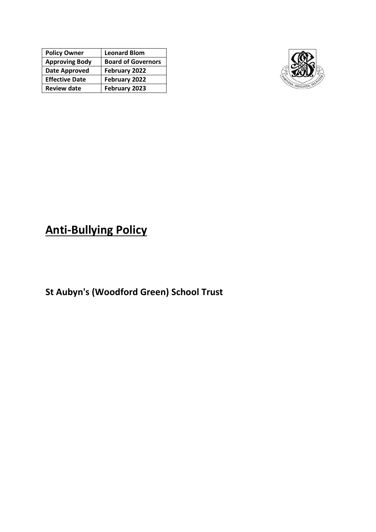| <b>Policy Owner</b>   | <b>Leonard Blom</b>       |
|-----------------------|---------------------------|
| <b>Approving Body</b> | <b>Board of Governors</b> |
| Date Approved         | February 2022             |
| <b>Effective Date</b> | February 2022             |
| <b>Review date</b>    | February 2023             |



# **Anti-Bullying Policy**

**St Aubyn's (Woodford Green) School Trust**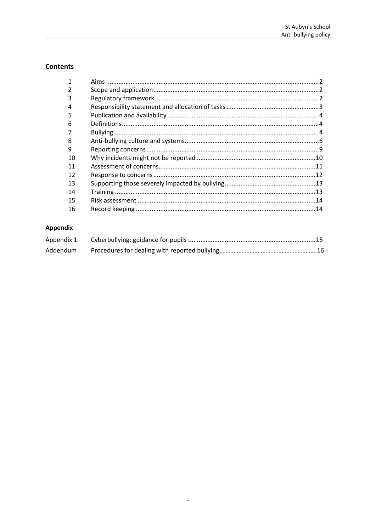# **Contents**

| 1  |     |
|----|-----|
| 2  |     |
| 3  |     |
| 4  |     |
| 5  |     |
| 6  |     |
|    |     |
| 8  |     |
| 9  |     |
| 10 |     |
| 11 |     |
| 12 |     |
| 13 |     |
| 14 |     |
| 15 |     |
| 16 | .14 |

# Appendix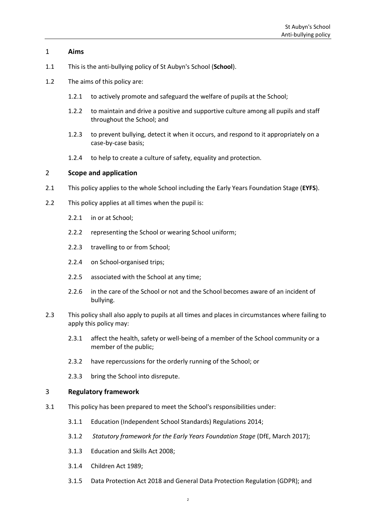# <span id="page-2-0"></span>1 **Aims**

- 1.1 This is the anti-bullying policy of St Aubyn's School (**School**).
- 1.2 The aims of this policy are:
	- 1.2.1 to actively promote and safeguard the welfare of pupils at the School;
	- 1.2.2 to maintain and drive a positive and supportive culture among all pupils and staff throughout the School; and
	- 1.2.3 to prevent bullying, detect it when it occurs, and respond to it appropriately on a case-by-case basis;
	- 1.2.4 to help to create a culture of safety, equality and protection.

# <span id="page-2-1"></span>2 **Scope and application**

- 2.1 This policy applies to the whole School including the Early Years Foundation Stage (**EYFS**).
- 2.2 This policy applies at all times when the pupil is:
	- 2.2.1 in or at School;
	- 2.2.2 representing the School or wearing School uniform;
	- 2.2.3 travelling to or from School;
	- 2.2.4 on School-organised trips;
	- 2.2.5 associated with the School at any time;
	- 2.2.6 in the care of the School or not and the School becomes aware of an incident of bullying.
- 2.3 This policy shall also apply to pupils at all times and places in circumstances where failing to apply this policy may:
	- 2.3.1 affect the health, safety or well-being of a member of the School community or a member of the public;
	- 2.3.2 have repercussions for the orderly running of the School; or
	- 2.3.3 bring the School into disrepute.

#### <span id="page-2-2"></span>3 **Regulatory framework**

- 3.1 This policy has been prepared to meet the School's responsibilities under:
	- 3.1.1 Education (Independent School Standards) Regulations 2014;
	- 3.1.2 *Statutory framework for the Early Years Foundation Stage* (DfE, March 2017);
	- 3.1.3 Education and Skills Act 2008;
	- 3.1.4 Children Act 1989;
	- 3.1.5 Data Protection Act 2018 and General Data Protection Regulation (GDPR); and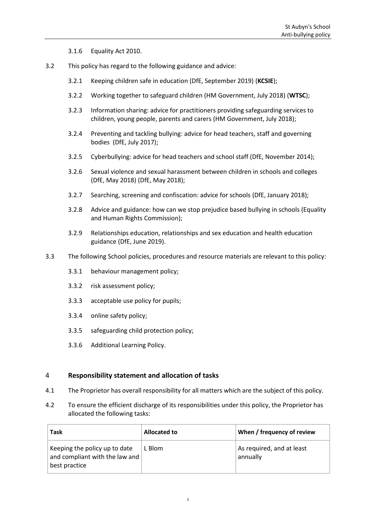3.1.6 Equality Act 2010.

- 3.2 This policy has regard to the following guidance and advice:
	- 3.2.1 [Keeping children safe in education \(](https://www.gov.uk/government/publications/keeping-children-safe-in-education--2)DfE, September 2019) (**KCSIE**);
	- 3.2.2 [Working together to safeguard children](https://assets.publishing.service.gov.uk/government/uploads/system/uploads/attachment_data/file/722305/Working_Together_to_Safeguard_Children_-_Guide.pdf) (HM Government, July 2018) (**WTSC**);
	- 3.2.3 [Information sharing: advice for practitioners providing safeguarding services to](https://www.gov.uk/government/publications/safeguarding-practitioners-information-sharing-advice)  [children, young people, parents and carers \(](https://www.gov.uk/government/publications/safeguarding-practitioners-information-sharing-advice)HM Government, July 2018);
	- 3.2.4 [Preventing and tackling bullying: advice for head teachers, staff and governing](https://www.gov.uk/government/uploads/system/uploads/attachment_data/file/623895/Preventing_and_tackling_bullying_advice.pdf)  [bodies](https://www.gov.uk/government/uploads/system/uploads/attachment_data/file/623895/Preventing_and_tackling_bullying_advice.pdf) (DfE, July 2017);
	- 3.2.5 [Cyberbullying: advice for head teachers](https://www.gov.uk/government/uploads/system/uploads/attachment_data/file/374850/Cyberbullying_Advice_for_Headteachers_and_School_Staff_121114.pdf) and school staff (DfE, November 2014);
	- 3.2.6 [Sexual violence and sexual harassment between children in schools and colleges](https://www.gov.uk/government/uploads/system/uploads/attachment_data/file/667862/Sexual_Harassment_and_Sexual_Violence_-_Advice.pdf)  [\(DfE, May 2018\)](https://www.gov.uk/government/uploads/system/uploads/attachment_data/file/667862/Sexual_Harassment_and_Sexual_Violence_-_Advice.pdf) (DfE, May 2018);
	- 3.2.7 [Searching, screening and confiscation: advice for schools](https://www.gov.uk/government/uploads/system/uploads/attachment_data/file/674416/Searching_screening_and_confiscation.pdf) (DfE, January 2018);
	- 3.2.8 [Advice and guidance: how can we stop prejudice based bullying in schools](https://www.equalityhumanrights.com/en/advice-and-guidance/how-can-we-stop-prejudice-based-bullying-schools) (Equality and Human Rights Commission);
	- 3.2.9 [Relationships education, relationships and sex education and health education](https://assets.publishing.service.gov.uk/government/uploads/system/uploads/attachment_data/file/805781/Relationships_Education__Relationships_and_Sex_Education__RSE__and_Health_Education.pdf)  [guidance \(](https://assets.publishing.service.gov.uk/government/uploads/system/uploads/attachment_data/file/805781/Relationships_Education__Relationships_and_Sex_Education__RSE__and_Health_Education.pdf)DfE, June 2019).
- 3.3 The following School policies, procedures and resource materials are relevant to this policy:
	- 3.3.1 behaviour management policy;
	- 3.3.2 risk assessment policy;
	- 3.3.3 acceptable use policy for pupils;
	- 3.3.4 online safety policy;
	- 3.3.5 safeguarding child protection policy;
	- 3.3.6 Additional Learning Policy.

# <span id="page-3-0"></span>4 **Responsibility statement and allocation of tasks**

- 4.1 The Proprietor has overall responsibility for all matters which are the subject of this policy.
- 4.2 To ensure the efficient discharge of its responsibilities under this policy, the Proprietor has allocated the following tasks:

| <b>Task</b>                                                                      | Allocated to | When / frequency of review            |
|----------------------------------------------------------------------------------|--------------|---------------------------------------|
| Keeping the policy up to date<br>and compliant with the law and<br>best practice | L Blom       | As required, and at least<br>annually |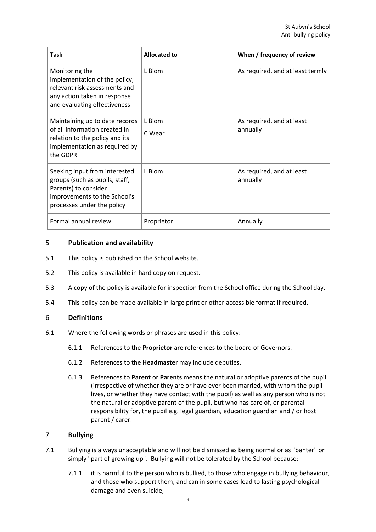| Task                                                                                                                                                  | <b>Allocated to</b> | When / frequency of review            |
|-------------------------------------------------------------------------------------------------------------------------------------------------------|---------------------|---------------------------------------|
| Monitoring the<br>implementation of the policy,<br>relevant risk assessments and<br>any action taken in response<br>and evaluating effectiveness      | L Blom              | As required, and at least termly      |
| Maintaining up to date records<br>of all information created in<br>relation to the policy and its<br>implementation as required by<br>the GDPR        | L Blom<br>C Wear    | As required, and at least<br>annually |
| Seeking input from interested<br>groups (such as pupils, staff,<br>Parents) to consider<br>improvements to the School's<br>processes under the policy | L Blom              | As required, and at least<br>annually |
| Formal annual review                                                                                                                                  | Proprietor          | Annually                              |

# <span id="page-4-0"></span>5 **Publication and availability**

- 5.1 This policy is published on the School website.
- 5.2 This policy is available in hard copy on request.
- 5.3 A copy of the policy is available for inspection from the School office during the School day.
- 5.4 This policy can be made available in large print or other accessible format if required.

#### <span id="page-4-1"></span>6 **Definitions**

- 6.1 Where the following words or phrases are used in this policy:
	- 6.1.1 References to the **Proprietor** are references to the board of Governors.
	- 6.1.2 References to the **Headmaster** may include deputies.
	- 6.1.3 References to **Parent** or **Parents** means the natural or adoptive parents of the pupil (irrespective of whether they are or have ever been married, with whom the pupil lives, or whether they have contact with the pupil) as well as any person who is not the natural or adoptive parent of the pupil, but who has care of, or parental responsibility for, the pupil e.g. legal guardian, education guardian and / or host parent / carer.

# <span id="page-4-2"></span>7 **Bullying**

- 7.1 Bullying is always unacceptable and will not be dismissed as being normal or as "banter" or simply "part of growing up". Bullying will not be tolerated by the School because:
	- 7.1.1 it is harmful to the person who is bullied, to those who engage in bullying behaviour, and those who support them, and can in some cases lead to lasting psychological damage and even suicide;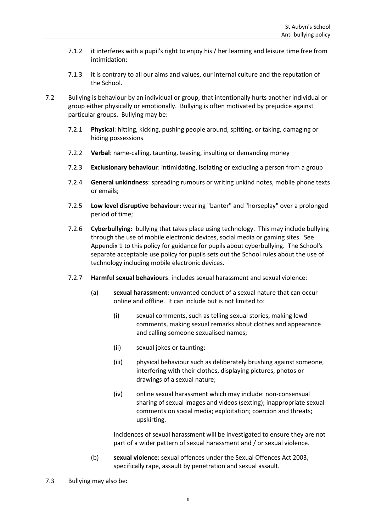- 7.1.2 it interferes with a pupil's right to enjoy his / her learning and leisure time free from intimidation;
- 7.1.3 it is contrary to all our aims and values, our internal culture and the reputation of the School.
- 7.2 Bullying is behaviour by an individual or group, that intentionally hurts another individual or group either physically or emotionally. Bullying is often motivated by prejudice against particular groups. Bullying may be:
	- 7.2.1 **Physical**: hitting, kicking, pushing people around, spitting, or taking, damaging or hiding possessions
	- 7.2.2 **Verbal**: name-calling, taunting, teasing, insulting or demanding money
	- 7.2.3 **Exclusionary behaviour**: intimidating, isolating or excluding a person from a group
	- 7.2.4 **General unkindness**: spreading rumours or writing unkind notes, mobile phone texts or emails;
	- 7.2.5 **Low level disruptive behaviour:** wearing "banter" and "horseplay" over a prolonged period of time;
	- 7.2.6 **Cyberbullying:** bullying that takes place using technology. This may include bullying through the use of mobile electronic devices, social media or gaming sites. See [Appendix 1](#page-15-0) to this policy for guidance for pupils about cyberbullying. The School's separate acceptable use policy for pupils sets out the School rules about the use of technology including mobile electronic devices.
	- 7.2.7 **Harmful sexual behaviours**: includes sexual harassment and sexual violence:
		- (a) **sexual harassment**: unwanted conduct of a sexual nature that can occur online and offline. It can include but is not limited to:
			- (i) sexual comments, such as telling sexual stories, making lewd comments, making sexual remarks about clothes and appearance and calling someone sexualised names;
			- (ii) sexual jokes or taunting;
			- (iii) physical behaviour such as deliberately brushing against someone, interfering with their clothes, displaying pictures, photos or drawings of a sexual nature;
			- (iv) online sexual harassment which may include: non-consensual sharing of sexual images and videos (sexting); inappropriate sexual comments on social media; exploitation; coercion and threats; upskirting.

Incidences of sexual harassment will be investigated to ensure they are not part of a wider pattern of sexual harassment and / or sexual violence.

- (b) **sexual violence**: sexual offences under the Sexual Offences Act 2003, specifically rape, assault by penetration and sexual assault.
- 7.3 Bullying may also be: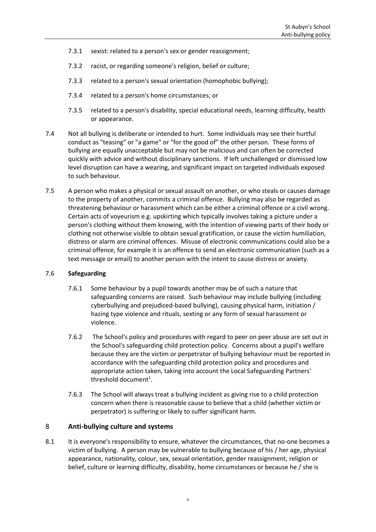- 7.3.1 sexist: related to a person's sex or gender reassignment;
- 7.3.2 racist, or regarding someone's religion, belief or culture;
- 7.3.3 related to a person's sexual orientation (homophobic bullying);
- 7.3.4 related to a person's home circumstances; or
- 7.3.5 related to a person's disability, special educational needs, learning difficulty, health or appearance.
- 7.4 Not all bullying is deliberate or intended to hurt. Some individuals may see their hurtful conduct as "teasing" or "a game" or "for the good of" the other person. These forms of bullying are equally unacceptable but may not be malicious and can often be corrected quickly with advice and without disciplinary sanctions. If left unchallenged or dismissed low level disruption can have a wearing, and significant impact on targeted individuals exposed to such behaviour.
- 7.5 A person who makes a physical or sexual assault on another, or who steals or causes damage to the property of another, commits a criminal offence. Bullying may also be regarded as threatening behaviour or harassment which can be either a criminal offence or a civil wrong. Certain acts of voyeurism e.g. upskirting which typically involves taking a picture under a person's clothing without them knowing, with the intention of viewing parts of their body or clothing not otherwise visible to obtain sexual gratification, or cause the victim humiliation, distress or alarm are criminal offences. Misuse of electronic communications could also be a criminal offence, for example it is an offence to send an electronic communication (such as a text message or email) to another person with the intent to cause distress or anxiety.

#### 7.6 **Safeguarding**

- 7.6.1 Some behaviour by a pupil towards another may be of such a nature that safeguarding concerns are raised. Such behaviour may include bullying (including cyberbullying and prejudiced-based bullying), causing physical harm, initiation / hazing type violence and rituals, sexting or any form of sexual harassment or violence.
- 7.6.2 The School's policy and procedures with regard to peer on peer abuse are set out in the School's safeguarding child protection policy. Concerns about a pupil's welfare because they are the victim or perpetrator of bullying behaviour must be reported in accordance with the safeguarding child protection policy and procedures and appropriate action taken, taking into account the Local Safeguarding Partners' threshold document<sup>1</sup>.
- 7.6.3 The School will always treat a bullying incident as giving rise to a child protection concern when there is reasonable cause to believe that a child (whether victim or perpetrator) is suffering or likely to suffer significant harm.

# <span id="page-6-0"></span>8 **Anti-bullying culture and systems**

8.1 It is everyone's responsibility to ensure, whatever the circumstances, that no-one becomes a victim of bullying. A person may be vulnerable to bullying because of his / her age, physical appearance, nationality, colour, sex, sexual orientation, gender reassignment, religion or belief, culture or learning difficulty, disability, home circumstances or because he / she is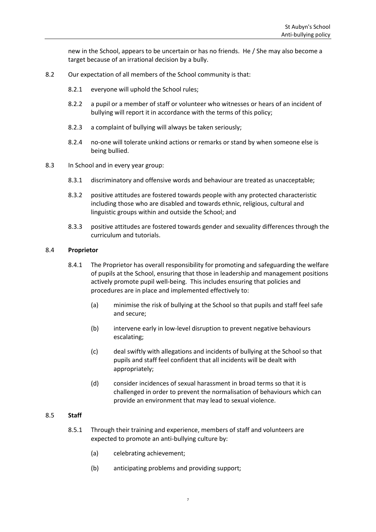new in the School, appears to be uncertain or has no friends. He / She may also become a target because of an irrational decision by a bully.

- 8.2 Our expectation of all members of the School community is that:
	- 8.2.1 everyone will uphold the School rules;
	- 8.2.2 a pupil or a member of staff or volunteer who witnesses or hears of an incident of bullying will report it in accordance with the terms of this policy;
	- 8.2.3 a complaint of bullying will always be taken seriously;
	- 8.2.4 no-one will tolerate unkind actions or remarks or stand by when someone else is being bullied.
- 8.3 In School and in every year group:
	- 8.3.1 discriminatory and offensive words and behaviour are treated as unacceptable;
	- 8.3.2 positive attitudes are fostered towards people with any protected characteristic including those who are disabled and towards ethnic, religious, cultural and linguistic groups within and outside the School; and
	- 8.3.3 positive attitudes are fostered towards gender and sexuality differences through the curriculum and tutorials.

#### 8.4 **Proprietor**

- 8.4.1 The Proprietor has overall responsibility for promoting and safeguarding the welfare of pupils at the School, ensuring that those in leadership and management positions actively promote pupil well-being. This includes ensuring that policies and procedures are in place and implemented effectively to:
	- (a) minimise the risk of bullying at the School so that pupils and staff feel safe and secure;
	- (b) intervene early in low-level disruption to prevent negative behaviours escalating;
	- (c) deal swiftly with allegations and incidents of bullying at the School so that pupils and staff feel confident that all incidents will be dealt with appropriately;
	- (d) consider incidences of sexual harassment in broad terms so that it is challenged in order to prevent the normalisation of behaviours which can provide an environment that may lead to sexual violence.

#### 8.5 **Staff**

- 8.5.1 Through their training and experience, members of staff and volunteers are expected to promote an anti-bullying culture by:
	- (a) celebrating achievement;
	- (b) anticipating problems and providing support;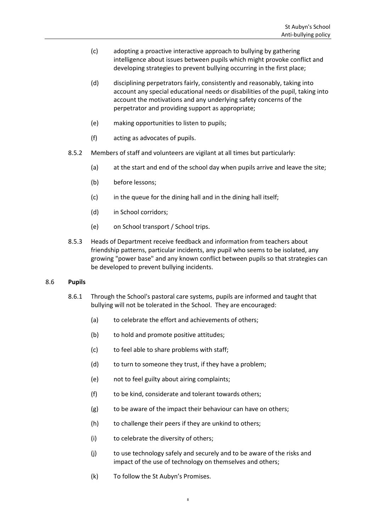- (c) adopting a proactive interactive approach to bullying by gathering intelligence about issues between pupils which might provoke conflict and developing strategies to prevent bullying occurring in the first place;
- (d) disciplining perpetrators fairly, consistently and reasonably, taking into account any special educational needs or disabilities of the pupil, taking into account the motivations and any underlying safety concerns of the perpetrator and providing support as appropriate;
- (e) making opportunities to listen to pupils;
- (f) acting as advocates of pupils.
- 8.5.2 Members of staff and volunteers are vigilant at all times but particularly:
	- (a) at the start and end of the school day when pupils arrive and leave the site;
	- (b) before lessons;
	- (c) in the queue for the dining hall and in the dining hall itself;
	- (d) in School corridors;
	- (e) on School transport / School trips.
- 8.5.3 Heads of Department receive feedback and information from teachers about friendship patterns, particular incidents, any pupil who seems to be isolated, any growing "power base" and any known conflict between pupils so that strategies can be developed to prevent bullying incidents.

#### 8.6 **Pupils**

- 8.6.1 Through the School's pastoral care systems, pupils are informed and taught that bullying will not be tolerated in the School. They are encouraged:
	- (a) to celebrate the effort and achievements of others;
	- (b) to hold and promote positive attitudes;
	- (c) to feel able to share problems with staff;
	- (d) to turn to someone they trust, if they have a problem;
	- (e) not to feel guilty about airing complaints;
	- (f) to be kind, considerate and tolerant towards others;
	- (g) to be aware of the impact their behaviour can have on others;
	- (h) to challenge their peers if they are unkind to others;
	- (i) to celebrate the diversity of others;
	- (j) to use technology safely and securely and to be aware of the risks and impact of the use of technology on themselves and others;
	- (k) To follow the St Aubyn's Promises.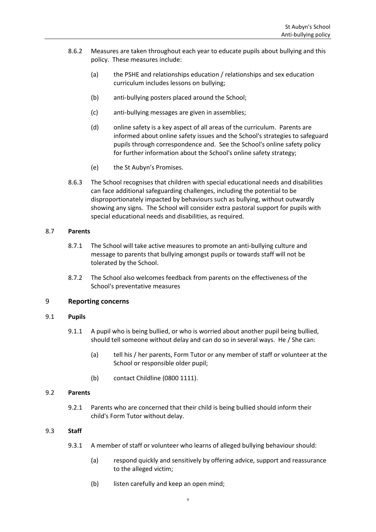- 8.6.2 Measures are taken throughout each year to educate pupils about bullying and this policy. These measures include:
	- (a) the PSHE and relationships education / relationships and sex education curriculum includes lessons on bullying;
	- (b) anti-bullying posters placed around the School;
	- (c) anti-bullying messages are given in assemblies;
	- (d) online safety is a key aspect of all areas of the curriculum. Parents are informed about online safety issues and the School's strategies to safeguard pupils through correspondence and. See the School's online safety policy for further information about the School's online safety strategy;
	- (e) the St Aubyn's Promises.
- 8.6.3 The School recognises that children with special educational needs and disabilities can face additional safeguarding challenges, including the potential to be disproportionately impacted by behaviours such as bullying, without outwardly showing any signs. The School will consider extra pastoral support for pupils with special educational needs and disabilities, as required.

#### 8.7 **Parents**

- 8.7.1 The School will take active measures to promote an anti-bullying culture and message to parents that bullying amongst pupils or towards staff will not be tolerated by the School.
- 8.7.2 The School also welcomes feedback from parents on the effectiveness of the School's preventative measures

#### <span id="page-9-0"></span>9 **Reporting concerns**

#### 9.1 **Pupils**

- 9.1.1 A pupil who is being bullied, or who is worried about another pupil being bullied, should tell someone without delay and can do so in several ways. He / She can:
	- (a) tell his / her parents, Form Tutor or any member of staff or volunteer at the School or responsible older pupil;
	- (b) contact Childline (0800 1111).

#### 9.2 **Parents**

9.2.1 Parents who are concerned that their child is being bullied should inform their child's Form Tutor without delay.

#### 9.3 **Staff**

- 9.3.1 A member of staff or volunteer who learns of alleged bullying behaviour should:
	- (a) respond quickly and sensitively by offering advice, support and reassurance to the alleged victim;
	- (b) listen carefully and keep an open mind;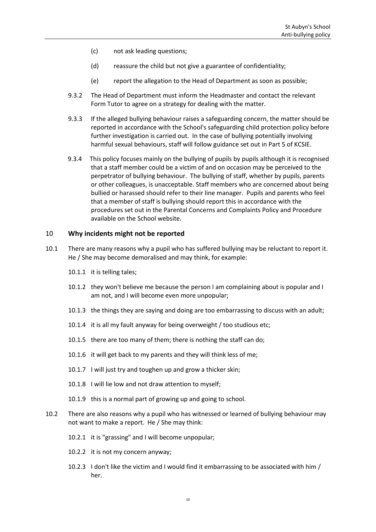- (c) not ask leading questions;
- (d) reassure the child but not give a guarantee of confidentiality;
- (e) report the allegation to the Head of Department as soon as possible;
- 9.3.2 The Head of Department must inform the Headmaster and contact the relevant Form Tutor to agree on a strategy for dealing with the matter.
- 9.3.3 If the alleged bullying behaviour raises a safeguarding concern, the matter should be reported in accordance with the School's safeguarding child protection policy before further investigation is carried out. In the case of bullying potentially involving harmful sexual behaviours, staff will follow guidance set out in Part 5 of KCSIE.
- 9.3.4 This policy focuses mainly on the bullying of pupils by pupils although it is recognised that a staff member could be a victim of and on occasion may be perceived to the perpetrator of bullying behaviour. The bullying of staff, whether by pupils, parents or other colleagues, is unacceptable. Staff members who are concerned about being bullied or harassed should refer to their line manager. Pupils and parents who feel that a member of staff is bullying should report this in accordance with the procedures set out in the Parental Concerns and Complaints Policy and Procedure available on the School website.

#### <span id="page-10-0"></span>10 **Why incidents might not be reported**

- 10.1 There are many reasons why a pupil who has suffered bullying may be reluctant to report it. He / She may become demoralised and may think, for example:
	- 10.1.1 it is telling tales;
	- 10.1.2 they won't believe me because the person I am complaining about is popular and I am not, and I will become even more unpopular;
	- 10.1.3 the things they are saying and doing are too embarrassing to discuss with an adult;
	- 10.1.4 it is all my fault anyway for being overweight / too studious etc;
	- 10.1.5 there are too many of them; there is nothing the staff can do;
	- 10.1.6 it will get back to my parents and they will think less of me;
	- 10.1.7 I will just try and toughen up and grow a thicker skin;
	- 10.1.8 I will lie low and not draw attention to myself;
	- 10.1.9 this is a normal part of growing up and going to school.
- 10.2 There are also reasons why a pupil who has witnessed or learned of bullying behaviour may not want to make a report. He / She may think:
	- 10.2.1 it is "grassing" and I will become unpopular;
	- 10.2.2 it is not my concern anyway;
	- 10.2.3 I don't like the victim and I would find it embarrassing to be associated with him / her.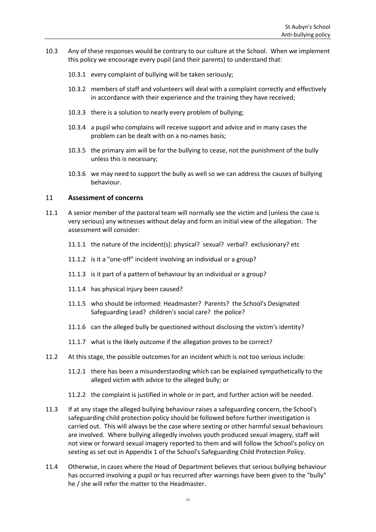- 10.3 Any of these responses would be contrary to our culture at the School. When we implement this policy we encourage every pupil (and their parents) to understand that:
	- 10.3.1 every complaint of bullying will be taken seriously;
	- 10.3.2 members of staff and volunteers will deal with a complaint correctly and effectively in accordance with their experience and the training they have received;
	- 10.3.3 there is a solution to nearly every problem of bullying;
	- 10.3.4 a pupil who complains will receive support and advice and in many cases the problem can be dealt with on a no-names basis;
	- 10.3.5 the primary aim will be for the bullying to cease, not the punishment of the bully unless this is necessary;
	- 10.3.6 we may need to support the bully as well so we can address the causes of bullying behaviour.

# <span id="page-11-0"></span>11 **Assessment of concerns**

- 11.1 A senior member of the pastoral team will normally see the victim and (unless the case is very serious) any witnesses without delay and form an initial view of the allegation. The assessment will consider:
	- 11.1.1 the nature of the incident(s): physical? sexual? verbal? exclusionary? etc
	- 11.1.2 is it a "one-off" incident involving an individual or a group?
	- 11.1.3 is it part of a pattern of behaviour by an individual or a group?
	- 11.1.4 has physical injury been caused?
	- 11.1.5 who should be informed: Headmaster? Parents? the School's Designated Safeguarding Lead? children's social care? the police?
	- 11.1.6 can the alleged bully be questioned without disclosing the victim's identity?
	- 11.1.7 what is the likely outcome if the allegation proves to be correct?
- 11.2 At this stage, the possible outcomes for an incident which is not too serious include:
	- 11.2.1 there has been a misunderstanding which can be explained sympathetically to the alleged victim with advice to the alleged bully; or
	- 11.2.2 the complaint is justified in whole or in part, and further action will be needed.
- 11.3 If at any stage the alleged bullying behaviour raises a safeguarding concern, the School's safeguarding child protection policy should be followed before further investigation is carried out. This will always be the case where sexting or other harmful sexual behaviours are involved. Where bullying allegedly involves youth produced sexual imagery, staff will not view or forward sexual imagery reported to them and will follow the School's policy on sexting as set out in Appendix 1 of the School's Safeguarding Child Protection Policy.
- 11.4 Otherwise, in cases where the Head of Department believes that serious bullying behaviour has occurred involving a pupil or has recurred after warnings have been given to the "bully" he / she will refer the matter to the Headmaster.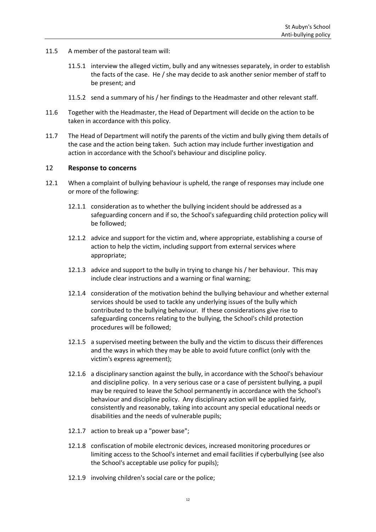- 11.5 A member of the pastoral team will:
	- 11.5.1 interview the alleged victim, bully and any witnesses separately, in order to establish the facts of the case. He / she may decide to ask another senior member of staff to be present; and
	- 11.5.2 send a summary of his / her findings to the Headmaster and other relevant staff.
- 11.6 Together with the Headmaster, the Head of Department will decide on the action to be taken in accordance with this policy.
- 11.7 The Head of Department will notify the parents of the victim and bully giving them details of the case and the action being taken. Such action may include further investigation and action in accordance with the School's behaviour and discipline policy.

#### <span id="page-12-0"></span>12 **Response to concerns**

- 12.1 When a complaint of bullying behaviour is upheld, the range of responses may include one or more of the following:
	- 12.1.1 consideration as to whether the bullying incident should be addressed as a safeguarding concern and if so, the School's safeguarding child protection policy will be followed;
	- 12.1.2 advice and support for the victim and, where appropriate, establishing a course of action to help the victim, including support from external services where appropriate;
	- 12.1.3 advice and support to the bully in trying to change his / her behaviour. This may include clear instructions and a warning or final warning;
	- 12.1.4 consideration of the motivation behind the bullying behaviour and whether external services should be used to tackle any underlying issues of the bully which contributed to the bullying behaviour. If these considerations give rise to safeguarding concerns relating to the bullying, the School's child protection procedures will be followed;
	- 12.1.5 a supervised meeting between the bully and the victim to discuss their differences and the ways in which they may be able to avoid future conflict (only with the victim's express agreement);
	- 12.1.6 a disciplinary sanction against the bully, in accordance with the School's behaviour and discipline policy. In a very serious case or a case of persistent bullying, a pupil may be required to leave the School permanently in accordance with the School's behaviour and discipline policy. Any disciplinary action will be applied fairly, consistently and reasonably, taking into account any special educational needs or disabilities and the needs of vulnerable pupils;
	- 12.1.7 action to break up a "power base";
	- 12.1.8 confiscation of mobile electronic devices, increased monitoring procedures or limiting access to the School's internet and email facilities if cyberbullying (see also the School's acceptable use policy for pupils);
	- 12.1.9 involving children's social care or the police;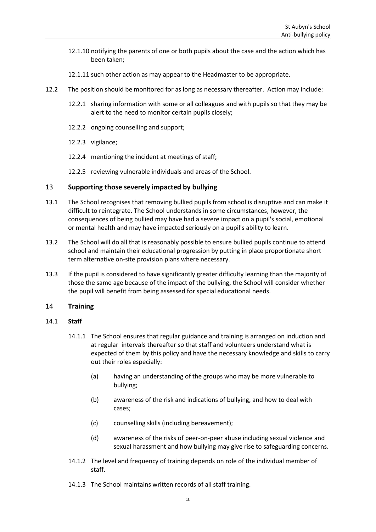- 12.1.10 notifying the parents of one or both pupils about the case and the action which has been taken;
- 12.1.11 such other action as may appear to the Headmaster to be appropriate.
- 12.2 The position should be monitored for as long as necessary thereafter. Action may include:
	- 12.2.1 sharing information with some or all colleagues and with pupils so that they may be alert to the need to monitor certain pupils closely;
	- 12.2.2 ongoing counselling and support;
	- 12.2.3 vigilance;
	- 12.2.4 mentioning the incident at meetings of staff;
	- 12.2.5 reviewing vulnerable individuals and areas of the School.

# <span id="page-13-0"></span>13 **Supporting those severely impacted by bullying**

- 13.1 The School recognises that removing bullied pupils from school is disruptive and can make it difficult to reintegrate. The School understands in some circumstances, however, the consequences of being bullied may have had a severe impact on a pupil's social, emotional or mental health and may have impacted seriously on a pupil's ability to learn.
- 13.2 The School will do all that is reasonably possible to ensure bullied pupils continue to attend school and maintain their educational progression by putting in place proportionate short term alternative on-site provision plans where necessary.
- 13.3 If the pupil is considered to have significantly greater difficulty learning than the majority of those the same age because of the impact of the bullying, the School will consider whether the pupil will benefit from being assessed for special educational needs.

#### <span id="page-13-1"></span>14 **Training**

#### 14.1 **Staff**

- 14.1.1 The School ensures that regular guidance and training is arranged on induction and at regular intervals thereafter so that staff and volunteers understand what is expected of them by this policy and have the necessary knowledge and skills to carry out their roles especially:
	- (a) having an understanding of the groups who may be more vulnerable to bullying;
	- (b) awareness of the risk and indications of bullying, and how to deal with cases;
	- (c) counselling skills (including bereavement);
	- (d) awareness of the risks of peer-on-peer abuse including sexual violence and sexual harassment and how bullying may give rise to safeguarding concerns.
- 14.1.2 The level and frequency of training depends on role of the individual member of staff.
- 14.1.3 The School maintains written records of all staff training.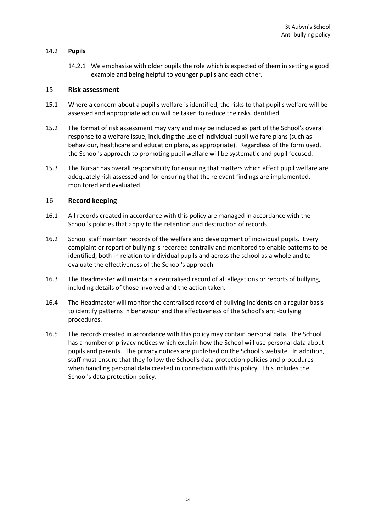# 14.2 **Pupils**

14.2.1 We emphasise with older pupils the role which is expected of them in setting a good example and being helpful to younger pupils and each other.

#### <span id="page-14-0"></span>15 **Risk assessment**

- 15.1 Where a concern about a pupil's welfare is identified, the risks to that pupil's welfare will be assessed and appropriate action will be taken to reduce the risks identified.
- 15.2 The format of risk assessment may vary and may be included as part of the School's overall response to a welfare issue, including the use of individual pupil welfare plans (such as behaviour, healthcare and education plans, as appropriate). Regardless of the form used, the School's approach to promoting pupil welfare will be systematic and pupil focused.
- 15.3 The Bursar has overall responsibility for ensuring that matters which affect pupil welfare are adequately risk assessed and for ensuring that the relevant findings are implemented, monitored and evaluated.

# <span id="page-14-1"></span>16 **Record keeping**

- 16.1 All records created in accordance with this policy are managed in accordance with the School's policies that apply to the retention and destruction of records.
- 16.2 School staff maintain records of the welfare and development of individual pupils. Every complaint or report of bullying is recorded centrally and monitored to enable patterns to be identified, both in relation to individual pupils and across the school as a whole and to evaluate the effectiveness of the School's approach.
- 16.3 The Headmaster will maintain a centralised record of all allegations or reports of bullying, including details of those involved and the action taken.
- 16.4 The Headmaster will monitor the centralised record of bullying incidents on a regular basis to identify patterns in behaviour and the effectiveness of the School's anti-bullying procedures.
- 16.5 The records created in accordance with this policy may contain personal data. The School has a number of privacy notices which explain how the School will use personal data about pupils and parents. The privacy notices are published on the School's website. In addition, staff must ensure that they follow the School's data protection policies and procedures when handling personal data created in connection with this policy. This includes the School's data protection policy.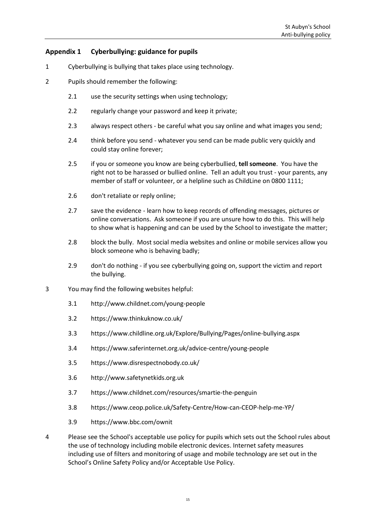# <span id="page-15-0"></span>**Appendix 1 Cyberbullying: guidance for pupils**

- 1 Cyberbullying is bullying that takes place using technology.
- 2 Pupils should remember the following:
	- 2.1 use the security settings when using technology;
	- 2.2 regularly change your password and keep it private;
	- 2.3 always respect others be careful what you say online and what images you send;
	- 2.4 think before you send whatever you send can be made public very quickly and could stay online forever;
	- 2.5 if you or someone you know are being cyberbullied, **tell someone**. You have the right not to be harassed or bullied online. Tell an adult you trust - your parents, any member of staff or volunteer, or a helpline such as ChildLine on 0800 1111;
	- 2.6 don't retaliate or reply online;
	- 2.7 save the evidence learn how to keep records of offending messages, pictures or online conversations. Ask someone if you are unsure how to do this. This will help to show what is happening and can be used by the School to investigate the matter;
	- 2.8 block the bully. Most social media websites and online or mobile services allow you block someone who is behaving badly;
	- 2.9 don't do nothing if you see cyberbullying going on, support the victim and report the bullying.
- 3 You may find the following websites helpful:
	- 3.1 <http://www.childnet.com/young-people>
	- 3.2 <https://www.thinkuknow.co.uk/>
	- 3.3 <https://www.childline.org.uk/Explore/Bullying/Pages/online-bullying.aspx>
	- 3.4 <https://www.saferinternet.org.uk/advice-centre/young-people>
	- 3.5 <https://www.disrespectnobody.co.uk/>
	- 3.6 [http://www.safetynetkids.org.uk](http://www.safetynetkids.org.uk/)
	- 3.7 <https://www.childnet.com/resources/smartie-the-penguin>
	- 3.8 <https://www.ceop.police.uk/Safety-Centre/How-can-CEOP-help-me-YP/>
	- 3.9 https://www.bbc.com/ownit
- 4 Please see the School's acceptable use policy for pupils which sets out the School rules about the use of technology including mobile electronic devices. Internet safety measures including use of filters and monitoring of usage and mobile technology are set out in the School's Online Safety Policy and/or Acceptable Use Policy.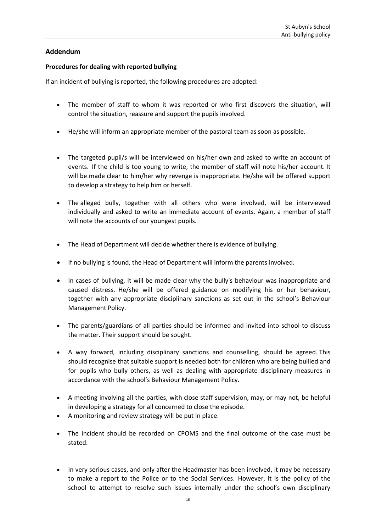# **Addendum**

# **Procedures for dealing with reported bullying**

If an incident of bullying is reported, the following procedures are adopted:

- The member of staff to whom it was reported or who first discovers the situation, will control the situation, reassure and support the pupils involved.
- He/she will inform an appropriate member of the pastoral team as soon as possible.
- The targeted pupil/s will be interviewed on his/her own and asked to write an account of events. If the child is too young to write, the member of staff will note his/her account. It will be made clear to him/her why revenge is inappropriate. He/she will be offered support to develop a strategy to help him or herself.
- The alleged bully, together with all others who were involved, will be interviewed individually and asked to write an immediate account of events. Again, a member of staff will note the accounts of our youngest pupils.
- The Head of Department will decide whether there is evidence of bullying.
- If no bullying is found, the Head of Department will inform the parents involved.
- In cases of bullying, it will be made clear why the bully's behaviour was inappropriate and caused distress. He/she will be offered guidance on modifying his or her behaviour, together with any appropriate disciplinary sanctions as set out in the school's Behaviour Management Policy.
- The parents/guardians of all parties should be informed and invited into school to discuss the matter. Their support should be sought.
- A way forward, including disciplinary sanctions and counselling, should be agreed. This should recognise that suitable support is needed both for children who are being bullied and for pupils who bully others, as well as dealing with appropriate disciplinary measures in accordance with the school's Behaviour Management Policy.
- A meeting involving all the parties, with close staff supervision, may, or may not, be helpful in developing a strategy for all concerned to close the episode.
- A monitoring and review strategy will be put in place.
- The incident should be recorded on CPOMS and the final outcome of the case must be stated.
- In very serious cases, and only after the Headmaster has been involved, it may be necessary to make a report to the Police or to the Social Services. However, it is the policy of the school to attempt to resolve such issues internally under the school's own disciplinary